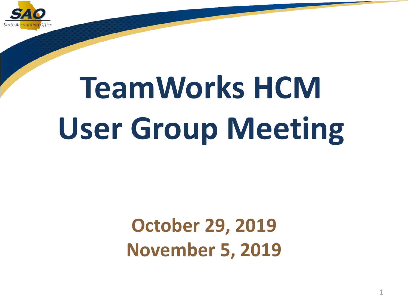

# **TeamWorks HCM User Group Meeting**

### **October 29, 2019 November 5, 2019**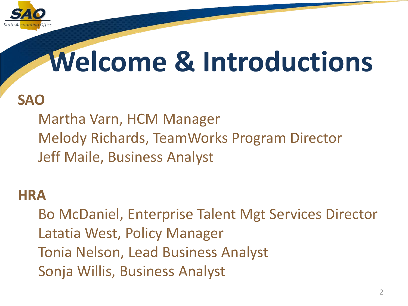

### **Welcome & Introductions**

#### **SAO**

Martha Varn, HCM Manager Melody Richards, TeamWorks Program Director Jeff Maile, Business Analyst

#### **HRA**

Bo McDaniel, Enterprise Talent Mgt Services Director Latatia West, Policy Manager Tonia Nelson, Lead Business Analyst Sonja Willis, Business Analyst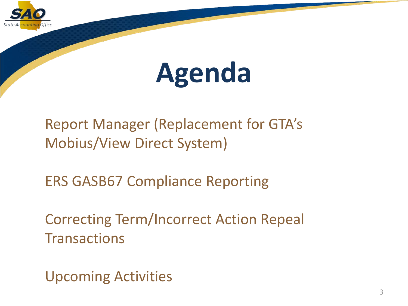

### **Agenda**

Report Manager (Replacement for GTA's Mobius/View Direct System)

ERS GASB67 Compliance Reporting

Correcting Term/Incorrect Action Repeal **Transactions** 

Upcoming Activities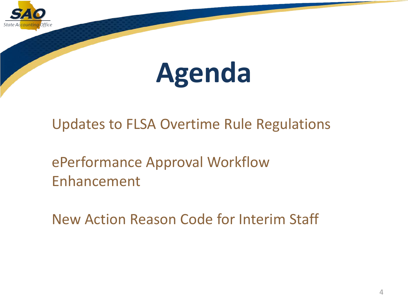

### **Agenda**

Updates to FLSA Overtime Rule Regulations

ePerformance Approval Workflow Enhancement

New Action Reason Code for Interim Staff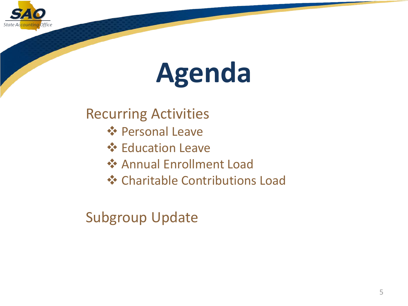

### **Agenda**

Recurring Activities

- **Personal Leave**
- **Education Leave**
- **❖ Annual Enrollment Load**
- **❖ Charitable Contributions Load**

Subgroup Update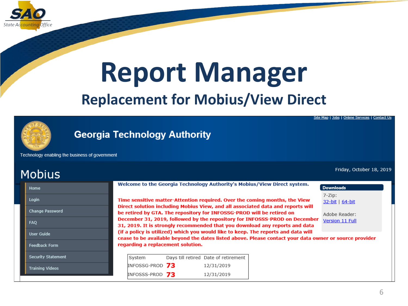

### **Report Manager Replacement for Mobius/View Direct**

**Georgia Technology Authority** 

Technology enabling the business of government

| TUDIUS                    |                                                                                                                                                                                             |  |  |
|---------------------------|---------------------------------------------------------------------------------------------------------------------------------------------------------------------------------------------|--|--|
| Home                      | Welcome to the Georgia Technology Authority's Mobius/View Direct system.<br><b>Downloads</b>                                                                                                |  |  |
| Login                     | $7 - Zip:$<br>Time sensitive matter-Attention required. Over the coming months, the View<br>32-bit   64-bit                                                                                 |  |  |
| Change Password           | Direct solution including Mobius View, and all associated data and reports will<br>be retired by GTA. The repository for INFOSSG-PROD will be retired on<br>Adobe Reader:                   |  |  |
| FAQ                       | December 31, 2019, followed by the repository for INFOSSS-PROD on December<br>Version 11 Full<br>31, 2019. It is strongly recommended that you download any reports and data                |  |  |
| User Guide                | (if a policy is utilized) which you would like to keep. The reports and data will<br>cease to be available beyond the dates listed above. Please contact your data owner or source provider |  |  |
| Feedback Form             | regarding a replacement solution.                                                                                                                                                           |  |  |
| <b>Security Statement</b> | System<br>Days till retired Date of retirement                                                                                                                                              |  |  |
| <b>Training Videos</b>    | <b>INFOSSG-PROD 73</b><br>12/31/2019                                                                                                                                                        |  |  |
|                           | <b>INFOSSS-PROD 73</b><br>12/31/2019                                                                                                                                                        |  |  |

<u> Site Map | Jobs | Online Services | Contact Us</u>

Friday, October 18, 2019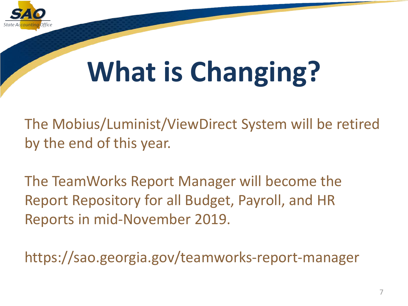

## **What is Changing?**

The Mobius/Luminist/ViewDirect System will be retired by the end of this year.

The TeamWorks Report Manager will become the Report Repository for all Budget, Payroll, and HR Reports in mid-November 2019.

https://sao.georgia.gov/teamworks-report-manager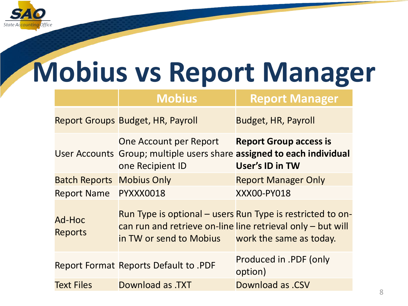

### **Mobius vs Report Manager**

|                                  | <b>Mobius</b>                                                                                                       | <b>Report Manager</b>                                      |
|----------------------------------|---------------------------------------------------------------------------------------------------------------------|------------------------------------------------------------|
|                                  | Report Groups Budget, HR, Payroll                                                                                   | <b>Budget, HR, Payroll</b>                                 |
|                                  | One Account per Report<br>User Accounts Group; multiple users share assigned to each individual<br>one Recipient ID | <b>Report Group access is</b><br>User's ID in TW           |
| <b>Batch Reports Mobius Only</b> |                                                                                                                     | <b>Report Manager Only</b>                                 |
| Report Name PYXXX0018            |                                                                                                                     | <b>XXX00-PY018</b>                                         |
| <b>Ad-Hoc</b><br><b>Reports</b>  | can run and retrieve on-line line retrieval only – but will<br>in TW or send to Mobius work the same as today.      | Run Type is optional – users Run Type is restricted to on- |
|                                  | Report Format Reports Default to .PDF                                                                               | Produced in .PDF (only<br>option)                          |
| <b>Text Files</b>                | Download as .TXT                                                                                                    | <b>Download as .CSV</b>                                    |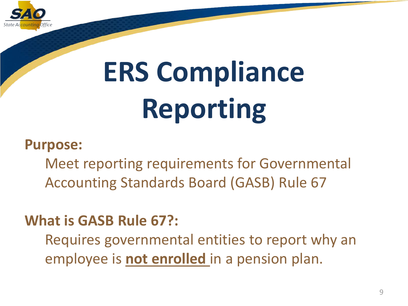

#### **Purpose:**

Meet reporting requirements for Governmental Accounting Standards Board (GASB) Rule 67

#### **What is GASB Rule 67?:**

Requires governmental entities to report why an employee is **not enrolled** in a pension plan.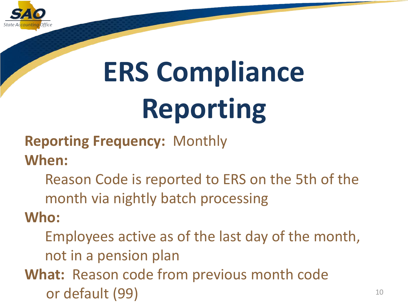

**Reporting Frequency:** Monthly

**When:** 

Reason Code is reported to ERS on the 5th of the month via nightly batch processing

**Who:**

- Employees active as of the last day of the month, not in a pension plan
- **What:** Reason code from previous month code or default (99)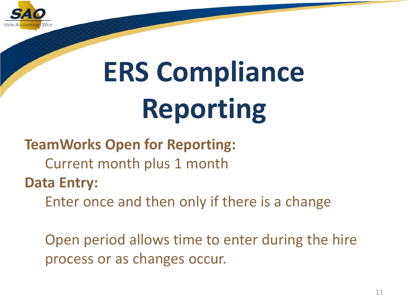

#### **TeamWorks Open for Reporting:**

- Current month plus 1 month
- **Data Entry:** 
	- Enter once and then only if there is a change

Open period allows time to enter during the hire process or as changes occur.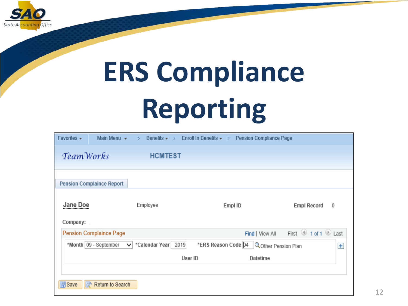

| Main Menu $\star$<br>Favorites $\star$  | Benefits $\star$<br>$\rightarrow$<br>Ŋ. | Enroll In Benefits $\star \rightarrow$<br>Pension Compliance Page |                         |
|-----------------------------------------|-----------------------------------------|-------------------------------------------------------------------|-------------------------|
| TeamWorks                               | <b>HCMTEST</b>                          |                                                                   |                         |
| <b>Pension Complaince Report</b>        |                                         |                                                                   |                         |
| Jane Doe<br>Company:                    | Employee                                | Empl ID                                                           | <b>Empl Record</b><br>0 |
| <b>Pension Complaince Page</b>          |                                         | Find   View All                                                   | First 1 of 1 D Last     |
| *Month   09 - September<br>$\checkmark$ | *Calendar Year<br>2019                  | *ERS Reason Code 04<br><b>Q</b> Other Pension Plan                | $+$                     |
|                                         |                                         |                                                                   |                         |
|                                         | User ID                                 | Datetime                                                          |                         |
| <b>同</b> Save                           |                                         |                                                                   |                         |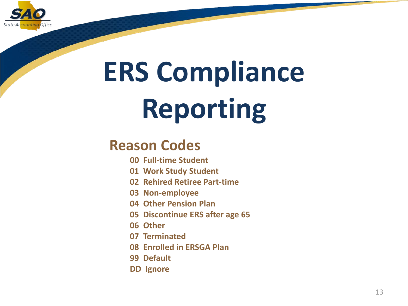

#### **Reason Codes**

- **00 Full-time Student**
- **01 Work Study Student**
- **02 Rehired Retiree Part-time**
- **03 Non-employee**
- **04 Other Pension Plan**
- **05 Discontinue ERS after age 65**
- **06 Other**
- **07 Terminated**
- **08 Enrolled in ERSGA Plan**
- **99 Default**
- **DD Ignore**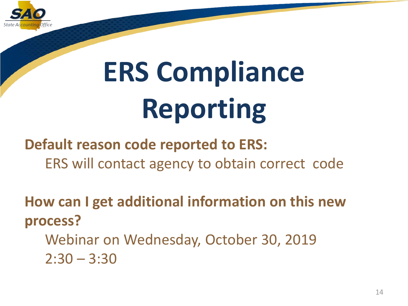

**Default reason code reported to ERS:** ERS will contact agency to obtain correct code

**How can I get additional information on this new process?**

Webinar on Wednesday, October 30, 2019  $2:30 - 3:30$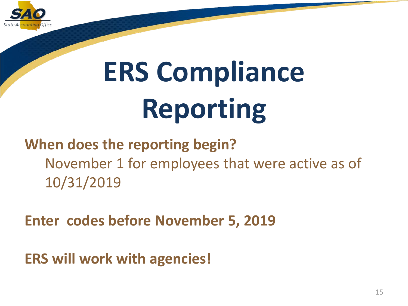

#### **When does the reporting begin?** November 1 for employees that were active as of 10/31/2019

**Enter codes before November 5, 2019**

**ERS will work with agencies!**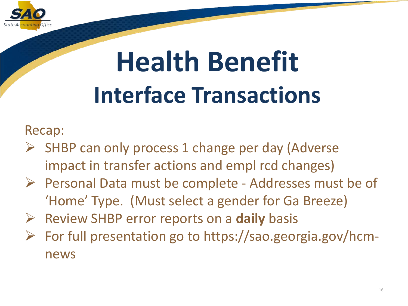

### **Health Benefit Interface Transactions**

Recap:

- $\triangleright$  SHBP can only process 1 change per day (Adverse impact in transfer actions and empl rcd changes)
- $\triangleright$  Personal Data must be complete Addresses must be of 'Home' Type. (Must select a gender for Ga Breeze)
- Review SHBP error reports on a **daily** basis
- $\triangleright$  For full presentation go to https://sao.georgia.gov/hcmnews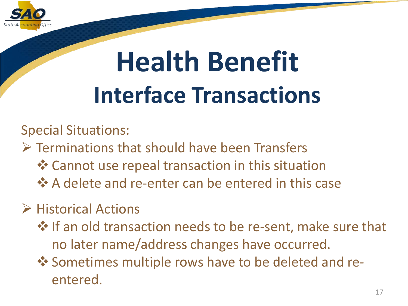

### **Health Benefit Interface Transactions**

Special Situations:

- $\triangleright$  Terminations that should have been Transfers
	- Cannot use repeal transaction in this situation
	- $\triangle$  **A delete and re-enter can be entered in this case**
- $\triangleright$  Historical Actions
	- † If an old transaction needs to be re-sent, make sure that no later name/address changes have occurred.
	- ❖ Sometimes multiple rows have to be deleted and reentered.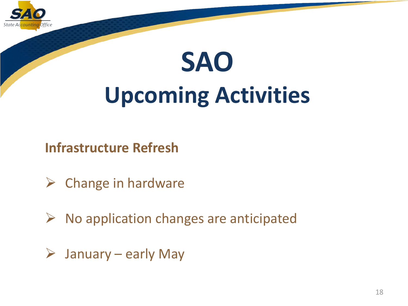

### **SAO Upcoming Activities**

**Infrastructure Refresh**

- $\triangleright$  Change in hardware
- $\triangleright$  No application changes are anticipated
- $\triangleright$  January early May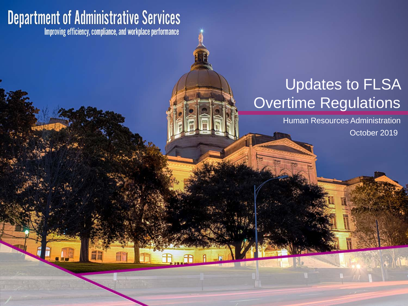### **Department of Administrative Services**<br>Improving efficiency, compliance, and workplace performance

#### Updates to FLSA Overtime Regulations

Human Resources Administration

October 2019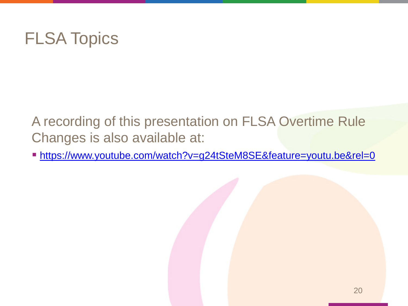

A recording of this presentation on FLSA Overtime Rule Changes is also available at:

[https://www.youtube.com/watch?v=g24tSteM8SE&feature=youtu.be&rel=0](https://gcc01.safelinks.protection.outlook.com/?url=https%3A%2F%2Fwww.youtube.com%2Fwatch%3Fv%3Dg24tSteM8SE%26feature%3Dyoutu.be%26rel%3D0&data=02%7C01%7CMartha.Varn%40sao.ga.gov%7C45ad59d2d2b04d6cdc5e08d75d5bed73%7C512da10d071b4b948abc9ec4044d1516%7C0%7C0%7C637080521710850551&sdata=EjT0jMgLExTSmF98QzP7M62EHVivi4%2F8dhYglj5vqdU%3D&reserved=0)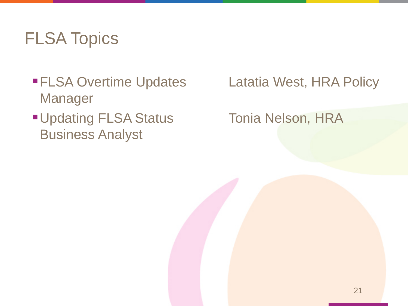#### FLSA Topics

- ■FLSA Overtime Updates Latatia West, HRA Policy Manager
- **Updating FLSA Status Tonia Nelson, HRA** Business Analyst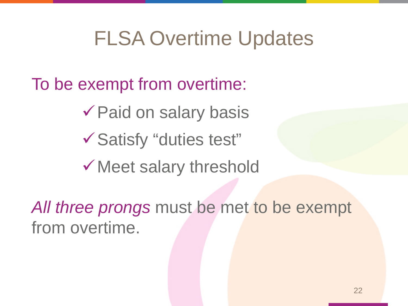To be exempt from overtime:

Paid on salary basis

Satisfy "duties test"

Meet salary threshold

*All three prongs* must be met to be exempt from overtime.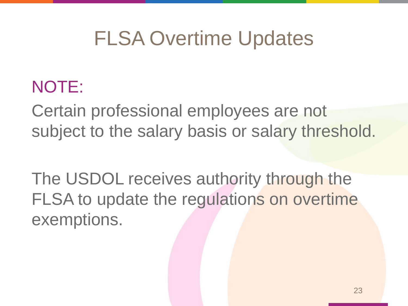#### NOTE:

Certain professional employees are not subject to the salary basis or salary threshold.

The USDOL receives authority through the FLSA to update the regulations on overtime exemptions.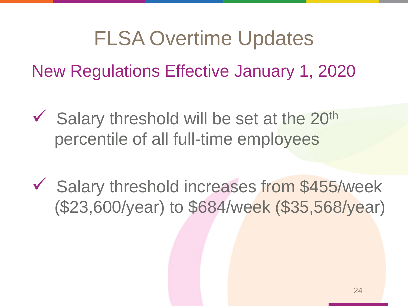New Regulations Effective January 1, 2020

- $\checkmark$  Salary threshold will be set at the 20<sup>th</sup> percentile of all full-time employees
- Salary threshold increases from \$455/week (\$23,600/year) to \$684/week (\$35,568/year)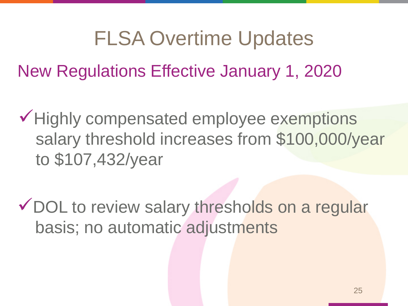New Regulations Effective January 1, 2020

Highly compensated employee exemptions salary threshold increases from \$100,000/year to \$107,432/year

DOL to review salary thresholds on a regular basis; no automatic adjustments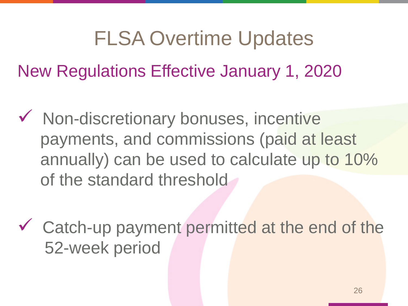New Regulations Effective January 1, 2020

- $\checkmark$  Non-discretionary bonuses, incentive payments, and commissions (paid at least annually) can be used to calculate up to 10% of the standard threshold
- Catch-up payment permitted at the end of the 52-week period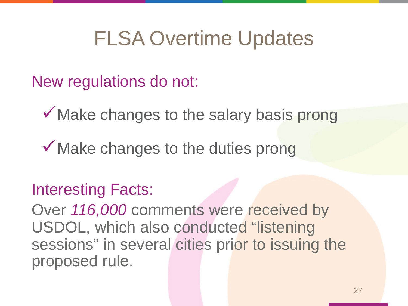New regulations do not:

Make changes to the salary basis prong

 $\checkmark$  Make changes to the duties prong

#### Interesting Facts:

Over *116,000* comments were received by USDOL, which also conducted "listening sessions" in several cities prior to issuing the proposed rule.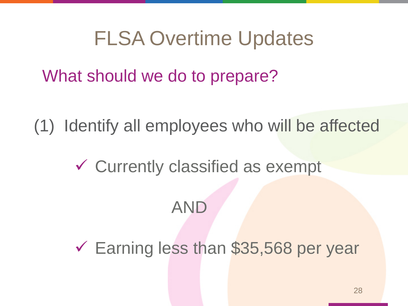What should we do to prepare?

(1) Identify all employees who will be affected

Currently classified as exempt

#### AND

 $\checkmark$  Earning less than \$35,568 per year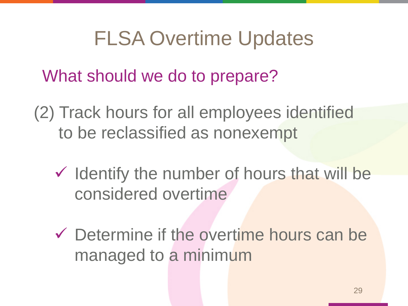What should we do to prepare?

(2) Track hours for all employees identified to be reclassified as nonexempt

- $\checkmark$  Identify the number of hours that will be considered overtime
- Determine if the overtime hours can be managed to a minimum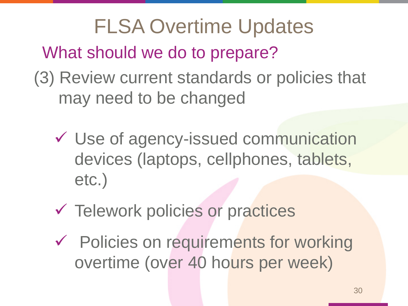FLSA Overtime Updates What should we do to prepare? (3) Review current standards or policies that may need to be changed

- Use of agency-issued communication devices (laptops, cellphones, tablets, etc.)
- Telework policies or practices
- Policies on requirements for working overtime (over 40 hours per week)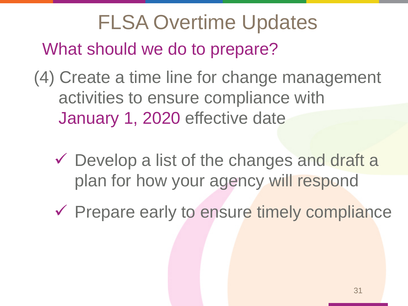FLSA Overtime Updates What should we do to prepare?

(4) Create a time line for change management activities to ensure compliance with January 1, 2020 effective date

 $\checkmark$  Develop a list of the changes and draft a plan for how your agency will respond

 $\checkmark$  Prepare early to ensure timely compliance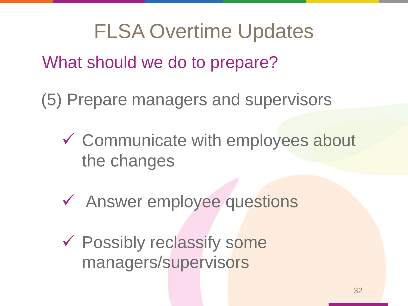What should we do to prepare?

(5) Prepare managers and supervisors

- Communicate with employees about the changes
- Answer employee questions
- Possibly reclassify some managers/supervisors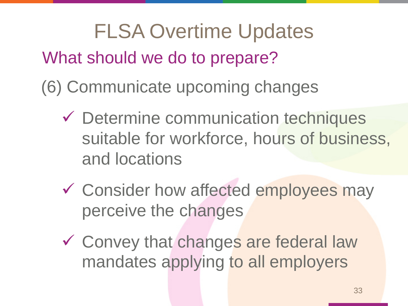FLSA Overtime Updates What should we do to prepare? (6) Communicate upcoming changes

- Determine communication techniques suitable for workforce, hours of business, and locations
- **✓ Consider how affected employees may** perceive the changes
- Convey that changes are federal law mandates applying to all employers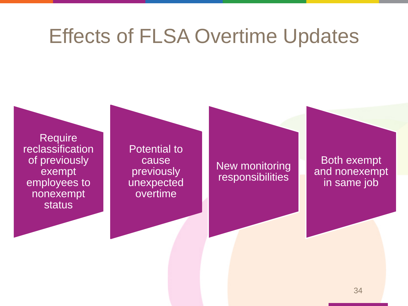### Effects of FLSA Overtime Updates

Require reclassification of previously exempt employees to nonexempt status

Potential to cause previously unexpected overtime

New monitoring responsibilities

Both exempt and nonexempt in same job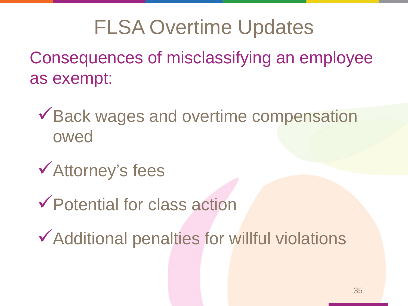Consequences of misclassifying an employee as exempt:

◆ Back wages and overtime compensation owed

Attorney's fees

Potential for class action

Additional penalties for willful violations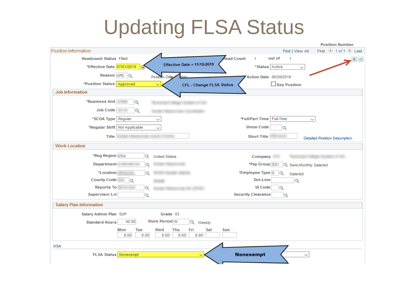### Updating FLSA Status

|                                                                       | <b>Position Number</b>                                     |
|-----------------------------------------------------------------------|------------------------------------------------------------|
| Position Information                                                  | First 1 of 1 2 Last<br>Find   View All                     |
| <b>Headcount Status Filled</b>                                        | lead Count<br>out of<br>1<br>-1<br>$+$ $-$                 |
| Effective Date = $11/15/2019$<br>*Effective Date 07/01/2019<br>FJ     | *Status Active<br>$\checkmark$                             |
| Reason UPD Q<br><b>Position Date</b><br>ate                           | Action Date 06/28/2019                                     |
| *Position Status Approved<br>$\checkmark$<br>CFL - Change FLSA Status | <b>Key Position</b>                                        |
| <b>Job Information</b>                                                |                                                            |
| *Business Unit                                                        |                                                            |
| <b>Job Code</b><br>Q                                                  |                                                            |
| *SCOA Type Regular<br>$\checkmark$                                    | *Full/Part Time   Full-Time<br>$\checkmark$                |
| *Regular Shift Not Applicable<br>$\checkmark$                         | <b>Union Code</b><br>$\alpha$                              |
| <b>Title</b>                                                          | <b>Short Title</b><br><b>Detailed Position Description</b> |
| <b>Work Location</b>                                                  |                                                            |
| *Reg Region USA<br>$\circ$<br><b>United States</b>                    | Company                                                    |
| <b>Department</b>                                                     | *Pay Group SS1<br>Semi-Monthly Salaried                    |
| *Location                                                             | *Employee Type S<br>Q<br>Salaried                          |
| <b>County Code</b><br>$\circ$                                         | Dot-Line<br>$\circ$                                        |
| <b>Reports To</b><br>$\circ$                                          | <b>UI Code</b>                                             |
| <b>Supervisor Lvl</b><br>Q                                            | <b>Security Clearance</b><br>Q                             |
| <b>Salary Plan Information</b>                                        |                                                            |
| Salary Admin Plan SUP<br>Grade 03                                     |                                                            |
| <b>Work Period W</b><br>40.00<br><b>Standard Hours</b><br>Q<br>Weekly |                                                            |
| Tue<br>Wed<br><b>Thu</b><br>Fri<br>Sat<br>Mon                         | Sun                                                        |
| 8.00<br>8.00<br>8.00<br>8.00<br>8.00                                  |                                                            |
| <b>USA</b>                                                            |                                                            |
| <b>FLSA Status</b> Nonexempt<br>$\checkmark$                          | <b>Nonexempt</b><br>$\checkmark$                           |
|                                                                       |                                                            |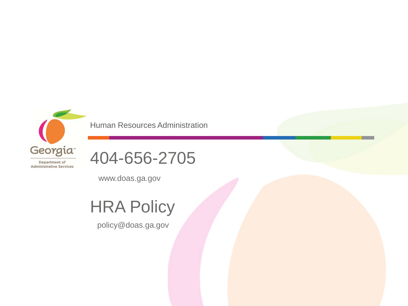

Human Resources Administration



www.doas.ga.gov

#### **HRA Policy**

policy@doas.ga.gov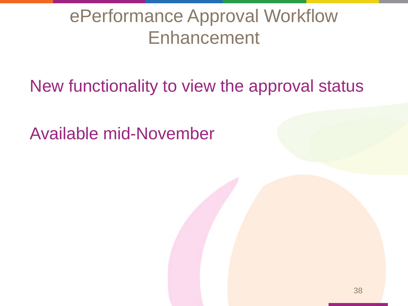New functionality to view the approval status

Available mid-November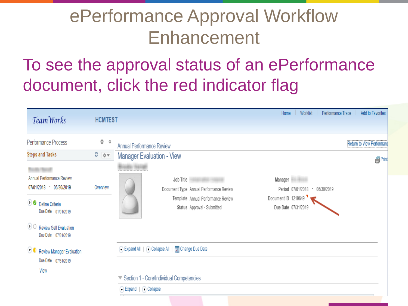### To see the approval status of an ePerformance document, click the red indicator flag

| TeamWorks                                                                                                                                                                                                | <b>HCMTEST</b>                  | Add to Favorites<br>Worklist<br>Performance Trace<br>Home                                                                                                                                                                                                                                                                                         |
|----------------------------------------------------------------------------------------------------------------------------------------------------------------------------------------------------------|---------------------------------|---------------------------------------------------------------------------------------------------------------------------------------------------------------------------------------------------------------------------------------------------------------------------------------------------------------------------------------------------|
| Performance Process<br><b>Steps and Tasks</b><br>Annual Performance Review<br>07/01/2018 - 06/30/2019<br>O O Define Criteria<br>Due Date 01/01/2019<br>O C Review Self Evaluation<br>Due Date 07/31/2019 | Ö<br>《<br>$0 - 0 -$<br>Overview | Return to View Performan<br><b>Annual Performance Review</b><br><b>Manager Evaluation - View</b><br>图Print<br>Job Title<br>Manager <b>Manager</b><br>Document Type Annual Performance Review<br>Period 07/01/2018 - 06/30/2019<br>Document ID 1219649<br>Template Annual Performance Review<br>Due Date 07/31/2019<br>Status Approval - Submitted |
| C C Review Manager Evaluation<br>Due Date 07/31/2019<br>View                                                                                                                                             |                                 | C Expand All   (i) Collapse All       Change Due Date<br>▼ Section 1 - Core/Individual Competencies<br>Expand   O Collapse                                                                                                                                                                                                                        |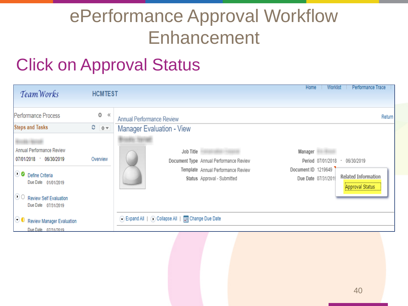#### Click on Approval Status

| TeamWorks                                                   | <b>HCMTEST</b>          |                                                                      | Performance Trace<br>Home<br>Worklist                                                |
|-------------------------------------------------------------|-------------------------|----------------------------------------------------------------------|--------------------------------------------------------------------------------------|
| Performance Process<br><b>Steps and Tasks</b>               | Ö<br>$\ll$<br>$C = 0 -$ | <b>Annual Performance Review</b><br><b>Manager Evaluation - View</b> | Return                                                                               |
| <b>Annual Performance Review</b><br>07/01/2018 - 06/30/2019 | Overview                | Job Title<br>Document Type Annual Performance Review                 | Manager<br>Period 07/01/2018 - 06/30/2019                                            |
| O O Define Criteria<br>Due Date 01/01/2019                  |                         | Template Annual Performance Review<br>Status Approval - Submitted    | Document ID 1219649<br>Related Information<br>Due Date 07/31/2019<br>Approval Status |
| 00<br><b>Review Self Evaluation</b><br>Due Date 07/31/2019  |                         | C Expand All   C Collapse All   File Change Due Date                 |                                                                                      |
| 00<br>Review Manager Evaluation<br>Due Date 07/31/2019      |                         |                                                                      |                                                                                      |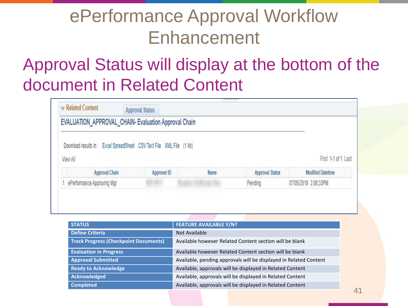### Approval Status will display at the bottom of the document in Related Content

| Related Content |                            | <b>Approval Status</b>                                               | ,,,,,,,,,,                                  |                        |                          |
|-----------------|----------------------------|----------------------------------------------------------------------|---------------------------------------------|------------------------|--------------------------|
|                 |                            | EVALUATION_APPROVAL_CHAIN- Evaluation Approval Chain                 |                                             |                        |                          |
| View All        |                            | Download results in: Excel SpreadSheet CSV Text File XML File (1 kb) |                                             |                        | First 1-1 of 1 Last      |
|                 | Approval Chain             | Approver ID                                                          | Name                                        | <b>Approval Status</b> | <b>Modified Datetime</b> |
|                 | ePerformance Approving Mgr |                                                                      | <b><i><i><u>Different State</u></i></i></b> | Pending                | 07/05/2019 3:08:33PM     |

| <b>STATUS</b>                                | <b>FEATURE AVAILABLE Y/N?</b>                                     |
|----------------------------------------------|-------------------------------------------------------------------|
| <b>Define Criteria</b>                       | Not Available                                                     |
| <b>Track Progress (Checkpoint Documents)</b> | Available however Related Content section will be blank           |
| <b>Evaluation in Progress</b>                | Available however Related Content section will be blank           |
| <b>Approval Submitted</b>                    | Available, pending approvals will be displayed in Related Content |
| <b>Ready to Acknowledge</b>                  | Available, approvals will be displayed in Related Content         |
| Acknowledged                                 | Available, approvals will be displayed in Related Content         |
| <b>Completed</b>                             | Available, approvals will be displayed in Related Content         |
|                                              |                                                                   |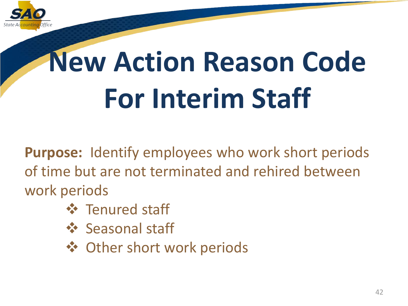

## **New Action Reason Code For Interim Staff**

**Purpose:** Identify employees who work short periods of time but are not terminated and rehired between work periods

- **❖** Tenured staff
- ❖ Seasonal staff
- **❖ Other short work periods**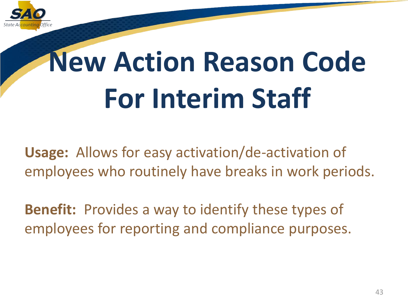

## **New Action Reason Code For Interim Staff**

**Usage:** Allows for easy activation/de-activation of employees who routinely have breaks in work periods.

**Benefit:** Provides a way to identify these types of employees for reporting and compliance purposes.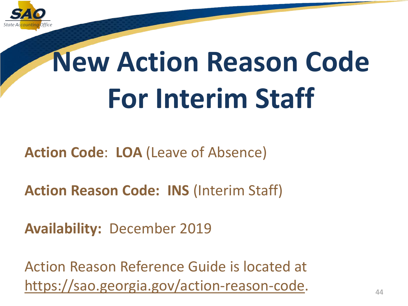

## **New Action Reason Code For Interim Staff**

**Action Code**: **LOA** (Leave of Absence)

**Action Reason Code: INS** (Interim Staff)

**Availability:** December 2019

Action Reason Reference Guide is located at [https://sao.georgia.gov/action-reason-code.](https://gcc01.safelinks.protection.outlook.com/?url=https://sao.georgia.gov/action-reason-code&data=02|01|Martha.Varn@sao.ga.gov|4376b841f23a45507f8608d753de1a6b|512da10d071b4b948abc9ec4044d1516|0|0|637070085694750718&sdata=npie1xwD/1U8S6HeDGDlXcs2cdg9CPezTfzULdD6EjM%3D&reserved=0)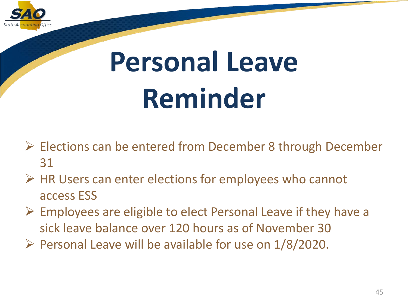

## **Personal Leave Reminder**

- $\triangleright$  Elections can be entered from December 8 through December 31
- $\triangleright$  HR Users can enter elections for employees who cannot access ESS
- $\triangleright$  Employees are eligible to elect Personal Leave if they have a sick leave balance over 120 hours as of November 30
- $\triangleright$  Personal Leave will be available for use on 1/8/2020.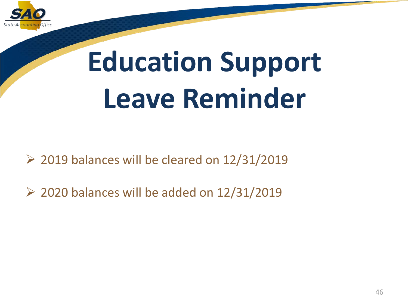

## **Education Support Leave Reminder**

 $\geq$  2019 balances will be cleared on 12/31/2019

 $\geq$  2020 balances will be added on 12/31/2019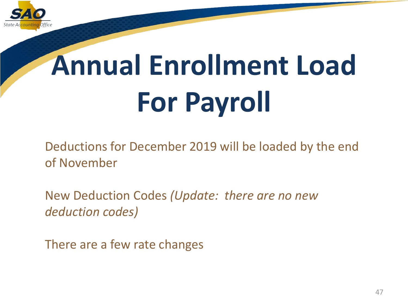

## **Annual Enrollment Load For Payroll**

Deductions for December 2019 will be loaded by the end of November

New Deduction Codes *(Update: there are no new deduction codes)*

There are a few rate changes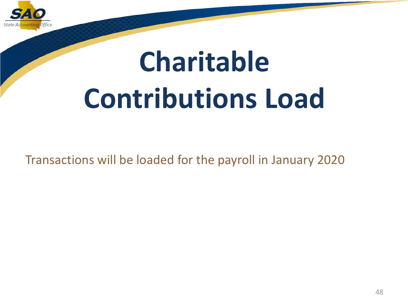

## **Charitable Contributions Load**

Transactions will be loaded for the payroll in January 2020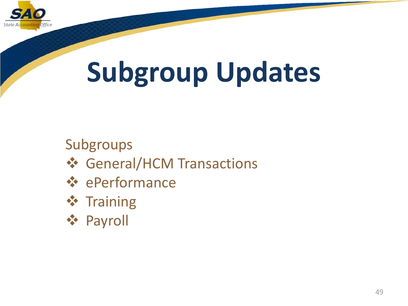

#### Subgroups

- **❖ General/HCM Transactions**
- ePerformance
- **❖ Training**
- Payroll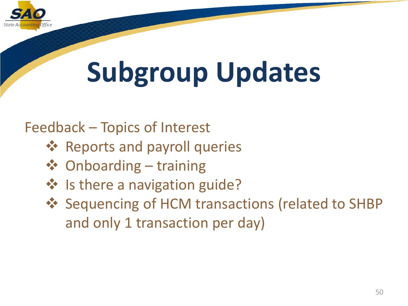

Feedback – Topics of Interest

- **Reports and payroll queries**
- Onboarding training
- ❖ Is there a navigation guide?
- ❖ Sequencing of HCM transactions (related to SHBP and only 1 transaction per day)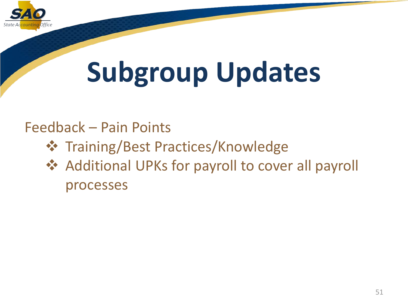

#### Feedback – Pain Points

- **❖ Training/Best Practices/Knowledge**
- ❖ Additional UPKs for payroll to cover all payroll processes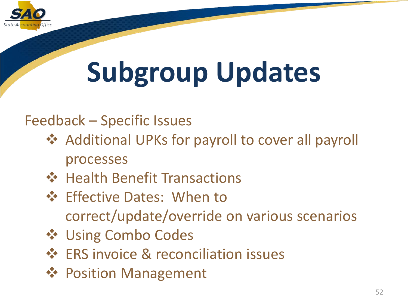

#### Feedback – Specific Issues

- Additional UPKs for payroll to cover all payroll processes
- **❖** Health Benefit Transactions
- **❖** Effective Dates: When to correct/update/override on various scenarios
- **❖ Using Combo Codes**
- **ERS invoice & reconciliation issues**
- **❖ Position Management**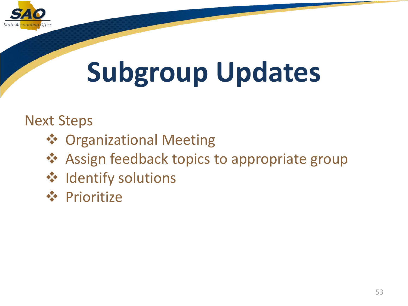

Next Steps

- **❖ Organizational Meeting**
- **❖** Assign feedback topics to appropriate group
- **❖** Identify solutions
- **❖** Prioritize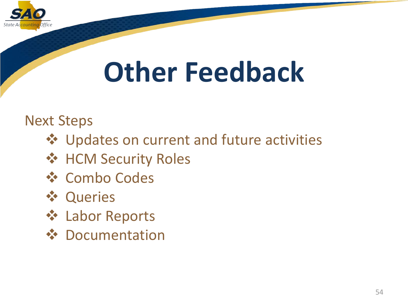

### **Other Feedback**

Next Steps

- **❖** Updates on current and future activities
- **❖ HCM Security Roles**
- **❖ Combo Codes**
- **❖ Queries**
- **❖ Labor Reports**
- **❖** Documentation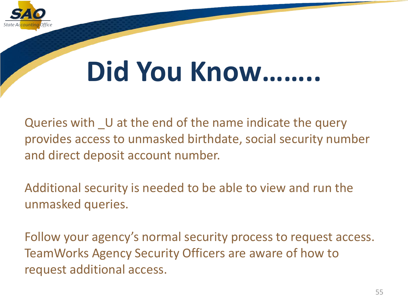

### **Did You Know……..**

Queries with U at the end of the name indicate the query provides access to unmasked birthdate, social security number and direct deposit account number.

Additional security is needed to be able to view and run the unmasked queries.

Follow your agency's normal security process to request access. TeamWorks Agency Security Officers are aware of how to request additional access.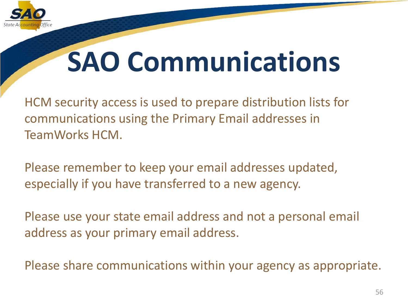

### **SAO Communications**

HCM security access is used to prepare distribution lists for communications using the Primary Email addresses in TeamWorks HCM.

Please remember to keep your email addresses updated, especially if you have transferred to a new agency.

Please use your state email address and not a personal email address as your primary email address.

Please share communications within your agency as appropriate.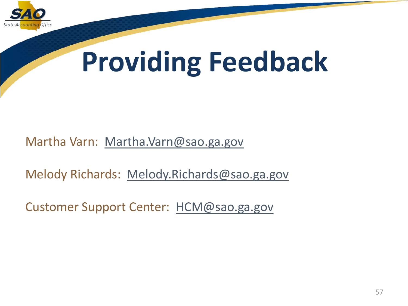

### **Providing Feedback**

Martha Varn: [Martha.Varn@sao.ga.gov](mailto:Martha.Varn@sao.ga.gov)

Melody Richards: [Melody.Richards@sao.ga.gov](mailto:Melody.Richards@sao.ga.gov)

Customer Support Center: [HCM@sao.ga.gov](mailto:HCM@sao.ga.gov)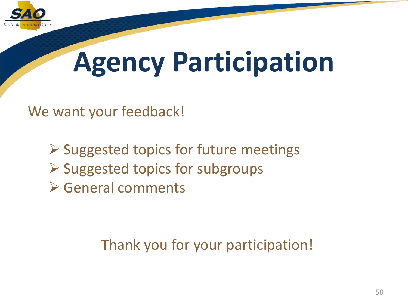

### **Agency Participation**

We want your feedback!

 $\triangleright$  Suggested topics for future meetings  $\triangleright$  Suggested topics for subgroups General comments

Thank you for your participation!